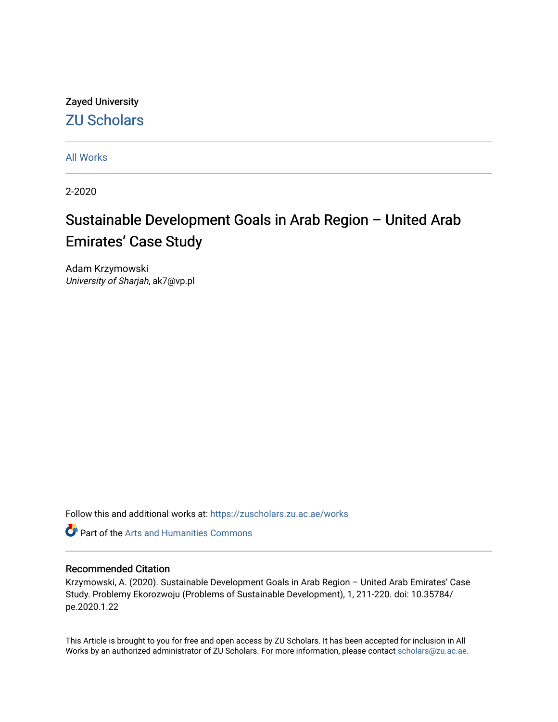## Zayed University [ZU Scholars](https://zuscholars.zu.ac.ae/)

[All Works](https://zuscholars.zu.ac.ae/works)

2-2020

# Sustainable Development Goals in Arab Region – United Arab Emirates' Case Study

Adam Krzymowski University of Sharjah, ak7@vp.pl

Follow this and additional works at: [https://zuscholars.zu.ac.ae/works](https://zuscholars.zu.ac.ae/works?utm_source=zuscholars.zu.ac.ae%2Fworks%2F4872&utm_medium=PDF&utm_campaign=PDFCoverPages)

**C** Part of the Arts and Humanities Commons

### Recommended Citation

Krzymowski, A. (2020). Sustainable Development Goals in Arab Region – United Arab Emirates' Case Study. Problemy Ekorozwoju (Problems of Sustainable Development), 1, 211-220. doi: 10.35784/ pe.2020.1.22

This Article is brought to you for free and open access by ZU Scholars. It has been accepted for inclusion in All Works by an authorized administrator of ZU Scholars. For more information, please contact [scholars@zu.ac.ae](mailto:scholars@zu.ac.ae).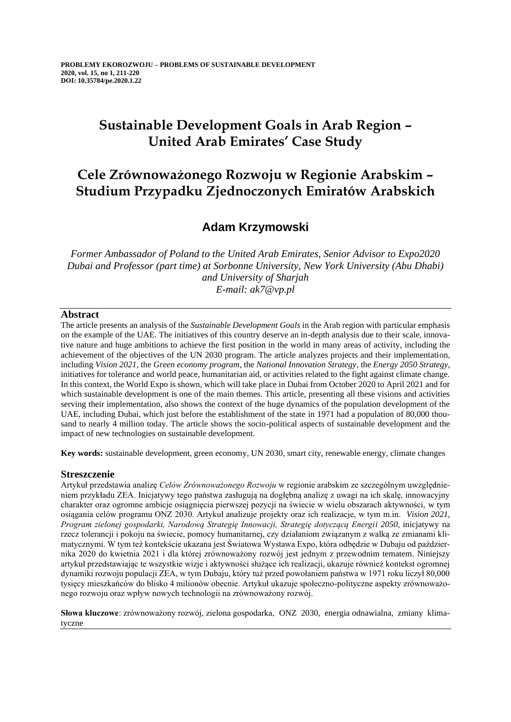## **Sustainable Development Goals in Arab Region – United Arab Emirates' Case Study**

## **Cele Zrównoważonego Rozwoju w Regionie Arabskim – Studium Przypadku Zjednoczonych Emiratów Arabskich**

### **Adam Krzymowski**

*Former Ambassador of Poland to the United Arab Emirates, Senior Advisor to Expo2020 Dubai and Professor (part time) at Sorbonne University, New York University (Abu Dhabi) and University of Sharjah E-mail: ak7@vp.pl*

### **Abstract**

The article presents an analysis of the *Sustainable Development Goals* in the Arab region with particular emphasis on the example of the UAE. The initiatives of this country deserve an in-depth analysis due to their scale, innovative nature and huge ambitions to achieve the first position in the world in many areas of activity, including the achievement of the objectives of the UN 2030 program. The article analyzes projects and their implementation, including *Vision 2021*, the *Green economy program*, the *National Innovation Strategy*, the *Energy 2050 Strategy*, initiatives for tolerance and world peace, humanitarian aid, or activities related to the fight against climate change. In this context, the World Expo is shown, which will take place in Dubai from October 2020 to April 2021 and for which sustainable development is one of the main themes. This article, presenting all these visions and activities serving their implementation, also shows the context of the huge dynamics of the population development of the UAE, including Dubai, which just before the establishment of the state in 1971 had a population of 80,000 thousand to nearly 4 million today. The article shows the socio-political aspects of sustainable development and the impact of new technologies on sustainable development.

**Key words:** sustainable development, green economy, UN 2030, smart city, renewable energy, climate changes

### **Streszczenie**

Artykuł przedstawia analizę *Celów Zrównoważonego Rozwoju* w regionie arabskim ze szczególnym uwzględnieniem przykładu ZEA. Inicjatywy tego państwa zasługują na dogłębną analizę z uwagi na ich skalę, innowacyjny charakter oraz ogromne ambicje osiągnięcia pierwszej pozycji na świecie w wielu obszarach aktywności, w tym osiągania celów programu ONZ 2030. Artykuł analizuje projekty oraz ich realizacje, w tym m.in. *Vision 2021, Program zielonej gospodarki, Narodową Strategię Innowacji, Strategię dotyczącą Energii 2050*, inicjatywy na rzecz tolerancji i pokoju na świecie, pomocy humanitarnej, czy działaniom związanym z walką ze zmianami klimatycznymi. W tym też kontekście ukazana jest Światowa Wystawa Expo, która odbędzie w Dubaju od października 2020 do kwietnia 2021 i dla której zrównoważony rozwój jest jednym z przewodnim tematem. Niniejszy artykuł przedstawiając te wszystkie wizje i aktywności służące ich realizacji, ukazuje również kontekst ogromnej dynamiki rozwoju populacji ZEA, w tym Dubaju, który tuż przed powołaniem państwa w 1971 roku liczył 80,000 tysięcy mieszkańców do blisko 4 milionów obecnie. Artykuł ukazuje społeczno-polityczne aspekty zrównoważonego rozwoju oraz wpływ nowych technologii na zrównoważony rozwój.

**Słowa kluczowe**: zrównoważony rozwój, zielona gospodarka, ONZ 2030, energia odnawialna, zmiany klimatyczne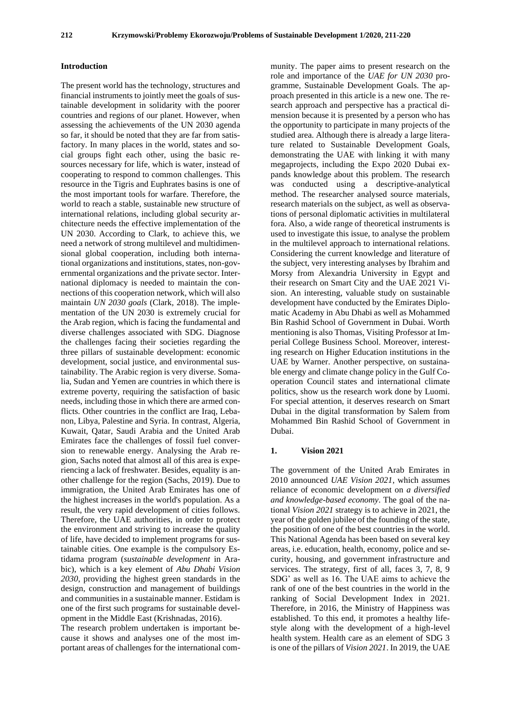#### **Introduction**

The present world has the technology, structures and financial instruments to jointly meet the goals of sustainable development in solidarity with the poorer countries and regions of our planet. However, when assessing the achievements of the UN 2030 agenda so far, it should be noted that they are far from satisfactory. In many places in the world, states and social groups fight each other, using the basic resources necessary for life, which is water, instead of cooperating to respond to common challenges. This resource in the Tigris and Euphrates basins is one of the most important tools for warfare. Therefore, the world to reach a stable, sustainable new structure of international relations, including global security architecture needs the effective implementation of the UN 2030. According to Clark, to achieve this, we need a network of strong multilevel and multidimensional global cooperation, including both international organizations and institutions, states, non-governmental organizations and the private sector. International diplomacy is needed to maintain the connections of this cooperation network, which will also maintain *UN 2030 goals* (Clark, 2018). The implementation of the UN 2030 is extremely crucial for the Arab region, which is facing the fundamental and diverse challenges associated with SDG. Diagnose the challenges facing their societies regarding the three pillars of sustainable development: economic development, social justice, and environmental sustainability. The Arabic region is very diverse. Somalia, Sudan and Yemen are countries in which there is extreme poverty, requiring the satisfaction of basic needs, including those in which there are armed conflicts. Other countries in the conflict are Iraq, Lebanon, Libya, Palestine and Syria. In contrast, Algeria, Kuwait, Qatar, Saudi Arabia and the United Arab Emirates face the challenges of fossil fuel conversion to renewable energy. Analysing the Arab region, Sachs noted that almost all of this area is experiencing a lack of freshwater. Besides, equality is another challenge for the region (Sachs, 2019). Due to immigration, the United Arab Emirates has one of the highest increases in the world's population. As a result, the very rapid development of cities follows. Therefore, the UAE authorities, in order to protect the environment and striving to increase the quality of life, have decided to implement programs for sustainable cities. One example is the compulsory Estidama program (*sustainable development* in Arabic), which is a key element of *Abu Dhabi Vision 2030*, providing the highest green standards in the design, construction and management of buildings and communities in a sustainable manner. Estidam is one of the first such programs for sustainable development in the Middle East (Krishnadas, 2016).

The research problem undertaken is important because it shows and analyses one of the most important areas of challenges for the international com-

munity. The paper aims to present research on the role and importance of the *UAE for UN 2030* programme, Sustainable Development Goals. The approach presented in this article is a new one. The research approach and perspective has a practical dimension because it is presented by a person who has the opportunity to participate in many projects of the studied area. Although there is already a large literature related to Sustainable Development Goals, demonstrating the UAE with linking it with many megaprojects, including the Expo 2020 Dubai expands knowledge about this problem. The research was conducted using a descriptive-analytical method. The researcher analysed source materials, research materials on the subject, as well as observations of personal diplomatic activities in multilateral fora. Also, a wide range of theoretical instruments is used to investigate this issue, to analyse the problem in the multilevel approach to international relations. Considering the current knowledge and literature of the subject, very interesting analyses by Ibrahim and Morsy from Alexandria University in Egypt and their research on Smart City and the UAE 2021 Vision. An interesting, valuable study on sustainable development have conducted by the Emirates Diplomatic Academy in Abu Dhabi as well as Mohammed Bin Rashid School of Government in Dubai. Worth mentioning is also Thomas, Visiting Professor at Imperial College Business School. Moreover, interesting research on Higher Education institutions in the UAE by Warner. Another perspective, on sustainable energy and climate change policy in the Gulf Cooperation Council states and international climate politics, show us the research work done by Luomi. For special attention, it deserves research on Smart Dubai in the digital transformation by Salem from Mohammed Bin Rashid School of Government in Dubai.

#### **1. Vision 2021**

The government of the United Arab Emirates in 2010 announced *UAE Vision 2021*, which assumes reliance of economic development on *a diversified and knowledge-based economy*. The goal of the national *Vision 2021* strategy is to achieve in 2021, the year of the golden jubilee of the founding of the state, the position of one of the best countries in the world. This National Agenda has been based on several key areas, i.e. education, health, economy, police and security, housing, and government infrastructure and services. The strategy, first of all, faces 3, 7, 8, 9 SDG' as well as 16. The UAE aims to achieve the rank of one of the best countries in the world in the ranking of Social Development Index in 2021. Therefore, in 2016, the Ministry of Happiness was established. To this end, it promotes a healthy lifestyle along with the development of a high-level health system. Health care as an element of SDG 3 is one of the pillars of *Vision 2021*. In 2019, the UAE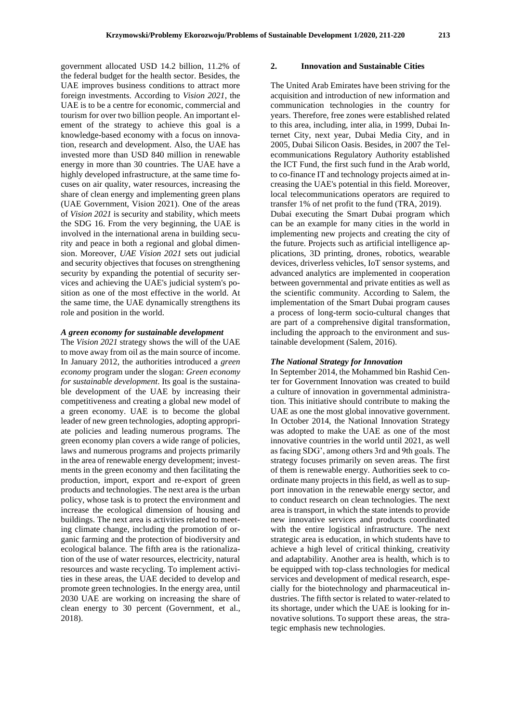government allocated USD 14.2 billion, 11.2% of the federal budget for the health sector. Besides, the UAE improves business conditions to attract more foreign investments. According to *Vision 2021*, the UAE is to be a centre for economic, commercial and tourism for over two billion people. An important element of the strategy to achieve this goal is a knowledge-based economy with a focus on innovation, research and development. Also, the UAE has invested more than USD 840 million in renewable energy in more than 30 countries. The UAE have a highly developed infrastructure, at the same time focuses on air quality, water resources, increasing the share of clean energy and implementing green plans (UAE Government, Vision 2021). One of the areas of *Vision 2021* is security and stability, which meets the SDG 16. From the very beginning, the UAE is involved in the international arena in building security and peace in both a regional and global dimension. Moreover, *UAE Vision 2021* sets out judicial and security objectives that focuses on strengthening security by expanding the potential of security services and achieving the UAE's judicial system's position as one of the most effective in the world. At the same time, the UAE dynamically strengthens its role and position in the world.

#### *[A green economy for sustainable development](https://uaecabinet.ae/en/details/prime-ministers-initiatives/uae-green-growth-strategy)*

The *Vision 2021* strategy shows the will of the UAE to move away from oil as the main source of income. In January 2012, the authorities introduced a *green economy* program under the slogan: *Green economy for sustainable development*. Its goal is the sustainable development of the UAE by increasing their competitiveness and creating a global new model of a green economy. UAE is to become the global leader of new green technologies, adopting appropriate policies and leading numerous programs. The green economy plan covers a wide range of policies, laws and numerous programs and projects primarily in the area of renewable energy development; investments in the green economy and then facilitating the production, import, export and re-export of green products and technologies. The next area is the urban policy, whose task is to protect the environment and increase the ecological dimension of housing and buildings. The next area is activities related to meeting climate change, including the promotion of organic farming and the protection of biodiversity and ecological balance. The fifth area is the rationalization of the use of water resources, electricity, natural resources and waste recycling. To implement activities in these areas, the UAE decided to develop and promote green technologies. In the energy area, until 2030 UAE are working on increasing the share of clean energy to 30 percent (Government, et al., 2018).

#### **2. Innovation and Sustainable Cities**

The United Arab Emirates have been striving for the acquisition and introduction of new information and communication technologies in the country for years. Therefore, free zones were established related to this area, including, inter alia, in 1999, Dubai Internet City, next year, Dubai Media City, and in 2005, Dubai Silicon Oasis. Besides, in 2007 the Telecommunications Regulatory Authority established the ICT Fund, the first such fund in the Arab world, to co-finance IT and technology projects aimed at increasing the UAE's potential in this field. Moreover, local telecommunications operators are required to transfer 1% of net profit to the fund (TRA, 2019). Dubai executing the Smart Dubai program which can be an example for many cities in the world in implementing new projects and creating the city of the future. Projects such as artificial intelligence applications, 3D printing, drones, robotics, wearable devices, driverless vehicles, IoT sensor systems, and advanced analytics are implemented in cooperation between governmental and private entities as well as the scientific community. According to Salem, the implementation of the Smart Dubai program causes a process of long-term socio-cultural changes that are part of a comprehensive digital transformation, including the approach to the environment and sustainable development (Salem, 2016).

#### *The National Strategy for Innovation*

In September 2014, the Mohammed bin Rashid Center for Government Innovation was created to build a culture of innovation in governmental administration. This initiative should contribute to making the UAE as one the most global innovative government. In October 2014, the National Innovation Strategy was adopted to make the UAE as one of the most innovative countries in the world until 2021, as well as facing SDG', among others 3rd and 9th goals. The strategy focuses primarily on seven areas. The first of them is renewable energy. Authorities seek to coordinate many projects in this field, as well as to support innovation in the renewable energy sector, and to conduct research on clean technologies. The next area is transport, in which the state intends to provide new innovative services and products coordinated with the entire logistical infrastructure. The next strategic area is education, in which students have to achieve a high level of critical thinking, creativity and adaptability. Another area is health, which is to be equipped with top-class technologies for medical services and development of medical research, especially for the biotechnology and pharmaceutical industries. The fifth sector is related to water-related to its shortage, under which the UAE is looking for innovative solutions. To support these areas, the strategic emphasis new technologies.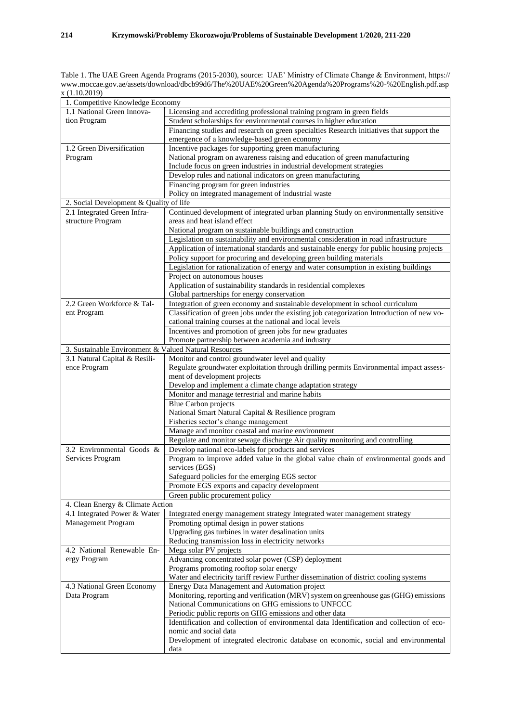Table 1. The UAE Green Agenda Programs (2015-2030), source: UAE' Ministry of Climate Change & Environment, https:// www.moccae.gov.ae/assets/download/dbcb99d6/The%20UAE%20Green%20Agenda%20Programs%20-%20English.pdf.asp x (1.10.2019)

| 1. Competitive Knowledge Economy                      |                                                                                            |
|-------------------------------------------------------|--------------------------------------------------------------------------------------------|
| 1.1 National Green Innova-                            | Licensing and accrediting professional training program in green fields                    |
| tion Program                                          | Student scholarships for environmental courses in higher education                         |
|                                                       | Financing studies and research on green specialties Research initiatives that support the  |
|                                                       | emergence of a knowledge-based green economy                                               |
| 1.2 Green Diversification                             | Incentive packages for supporting green manufacturing                                      |
| Program                                               | National program on awareness raising and education of green manufacturing                 |
|                                                       | Include focus on green industries in industrial development strategies                     |
|                                                       | Develop rules and national indicators on green manufacturing                               |
|                                                       | Financing program for green industries                                                     |
|                                                       | Policy on integrated management of industrial waste                                        |
| 2. Social Development & Quality of life               |                                                                                            |
| 2.1 Integrated Green Infra-                           | Continued development of integrated urban planning Study on environmentally sensitive      |
| structure Program                                     | areas and heat island effect                                                               |
|                                                       | National program on sustainable buildings and construction                                 |
|                                                       | Legislation on sustainability and environmental consideration in road infrastructure       |
|                                                       |                                                                                            |
|                                                       | Application of international standards and sustainable energy for public housing projects  |
|                                                       | Policy support for procuring and developing green building materials                       |
|                                                       | Legislation for rationalization of energy and water consumption in existing buildings      |
|                                                       | Project on autonomous houses                                                               |
|                                                       | Application of sustainability standards in residential complexes                           |
|                                                       | Global partnerships for energy conservation                                                |
| 2.2 Green Workforce & Tal-                            | Integration of green economy and sustainable development in school curriculum              |
| ent Program                                           | Classification of green jobs under the existing job categorization Introduction of new vo- |
|                                                       | cational training courses at the national and local levels                                 |
|                                                       | Incentives and promotion of green jobs for new graduates                                   |
|                                                       | Promote partnership between academia and industry                                          |
| 3. Sustainable Environment & Valued Natural Resources |                                                                                            |
| 3.1 Natural Capital & Resili-                         | Monitor and control groundwater level and quality                                          |
| ence Program                                          | Regulate groundwater exploitation through drilling permits Environmental impact assess-    |
|                                                       | ment of development projects                                                               |
|                                                       | Develop and implement a climate change adaptation strategy                                 |
|                                                       | Monitor and manage terrestrial and marine habits                                           |
|                                                       | <b>Blue Carbon projects</b>                                                                |
|                                                       | National Smart Natural Capital & Resilience program                                        |
|                                                       | Fisheries sector's change management                                                       |
|                                                       | Manage and monitor coastal and marine environment                                          |
|                                                       | Regulate and monitor sewage discharge Air quality monitoring and controlling               |
| 3.2 Environmental Goods &                             | Develop national eco-labels for products and services                                      |
| Services Program                                      | Program to improve added value in the global value chain of environmental goods and        |
|                                                       | services (EGS)                                                                             |
|                                                       | Safeguard policies for the emerging EGS sector                                             |
|                                                       | Promote EGS exports and capacity development                                               |
|                                                       | Green public procurement policy                                                            |
| 4. Clean Energy & Climate Action                      |                                                                                            |
| 4.1 Integrated Power & Water                          | Integrated energy management strategy Integrated water management strategy                 |
| Management Program                                    | Promoting optimal design in power stations                                                 |
|                                                       |                                                                                            |
|                                                       | Upgrading gas turbines in water desalination units                                         |
|                                                       | Reducing transmission loss in electricity networks                                         |
| 4.2 National Renewable En-                            | Mega solar PV projects                                                                     |
| ergy Program                                          | Advancing concentrated solar power (CSP) deployment                                        |
|                                                       | Programs promoting rooftop solar energy                                                    |
|                                                       | Water and electricity tariff review Further dissemination of district cooling systems      |
| 4.3 National Green Economy                            | Energy Data Management and Automation project                                              |
| Data Program                                          | Monitoring, reporting and verification (MRV) system on greenhouse gas (GHG) emissions      |
|                                                       | National Communications on GHG emissions to UNFCCC                                         |
|                                                       | Periodic public reports on GHG emissions and other data                                    |
|                                                       | Identification and collection of environmental data Identification and collection of eco-  |
|                                                       | nomic and social data                                                                      |
|                                                       | Development of integrated electronic database on economic, social and environmental        |
|                                                       | data                                                                                       |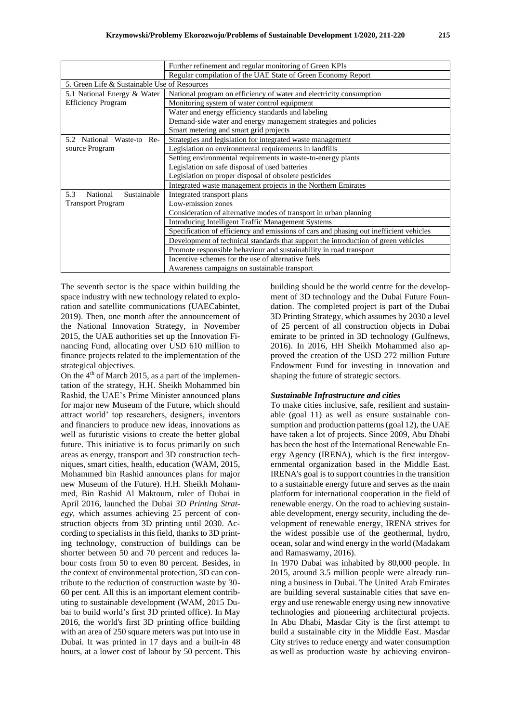|                                              | Further refinement and regular monitoring of Green KPIs                                |
|----------------------------------------------|----------------------------------------------------------------------------------------|
|                                              | Regular compilation of the UAE State of Green Economy Report                           |
| 5. Green Life & Sustainable Use of Resources |                                                                                        |
| 5.1 National Energy & Water                  | National program on efficiency of water and electricity consumption                    |
| <b>Efficiency Program</b>                    | Monitoring system of water control equipment                                           |
|                                              | Water and energy efficiency standards and labeling                                     |
|                                              | Demand-side water and energy management strategies and policies                        |
|                                              | Smart metering and smart grid projects                                                 |
| National Waste-to<br>$Re-$<br>5.2            | Strategies and legislation for integrated waste management                             |
| source Program                               | Legislation on environmental requirements in landfills                                 |
|                                              | Setting environmental requirements in waste-to-energy plants                           |
|                                              | Legislation on safe disposal of used batteries                                         |
|                                              | Legislation on proper disposal of obsolete pesticides                                  |
|                                              | Integrated waste management projects in the Northern Emirates                          |
| 5.3<br>Sustainable<br>National               | Integrated transport plans                                                             |
| <b>Transport Program</b>                     | Low-emission zones                                                                     |
|                                              | Consideration of alternative modes of transport in urban planning                      |
|                                              | <b>Introducing Intelligent Traffic Management Systems</b>                              |
|                                              | Specification of efficiency and emissions of cars and phasing out inefficient vehicles |
|                                              | Development of technical standards that support the introduction of green vehicles     |
|                                              | Promote responsible behaviour and sustainability in road transport                     |
|                                              | Incentive schemes for the use of alternative fuels                                     |
|                                              | Awareness campaigns on sustainable transport                                           |

The seventh sector is the space within building the space industry with new technology related to exploration and satellite communications (UAECabintet, 2019). Then, one month after the announcement of the National Innovation Strategy, in November 2015, the UAE authorities set up the Innovation Financing Fund, allocating over USD 610 million to finance projects related to the implementation of the strategical objectives.

On the  $4<sup>th</sup>$  of March 2015, as a part of the implementation of the strategy, H.H. Sheikh Mohammed bin Rashid, the UAE's Prime Minister announced plans for major new Museum of the Future, which should attract world' top researchers, designers, inventors and financiers to produce new ideas, innovations as well as futuristic visions to create the better global future. This initiative is to focus primarily on such areas as energy, transport and 3D construction techniques, smart cities, health, education (WAM, 2015, Mohammed bin Rashid announces plans for major new Museum of the Future). H.H. Sheikh Mohammed, Bin Rashid Al Maktoum, ruler of Dubai in April 2016, launched the Dubai *3D Printing Strategy*, which assumes achieving 25 percent of construction objects from 3D printing until 2030. According to specialists in this field, thanks to 3D printing technology, construction of buildings can be shorter between 50 and 70 percent and reduces labour costs from 50 to even 80 percent. Besides, in the context of environmental protection, 3D can contribute to the reduction of construction waste by 30- 60 per cent. All this is an important element contributing to sustainable development (WAM, 2015 Dubai to build world's first 3D printed office). In May 2016, the world's first 3D printing office building with an area of 250 square meters was put into use in Dubai. It was printed in 17 days and a built-in 48 hours, at a lower cost of labour by 50 percent. This

building should be the world centre for the development of 3D technology and the Dubai Future Foundation. The completed project is part of the Dubai 3D Printing Strategy, which assumes by 2030 a level of 25 percent of all construction objects in Dubai emirate to be printed in 3D technology (Gulfnews, 2016). In 2016, HH Sheikh Mohammed also approved the creation of the USD 272 million Future Endowment Fund for investing in innovation and shaping the future of strategic sectors.

#### *Sustainable Infrastructure and cities*

To make cities inclusive, safe, resilient and sustainable (goal 11) as well as ensure sustainable consumption and production patterns (goal 12), the UAE have taken a lot of projects. Since 2009, Abu Dhabi has been the host of the International Renewable Energy Agency (IRENA), which is the first intergovernmental organization based in the Middle East. IRENA's goal is to support countries in the transition to a sustainable energy future and serves as the main platform for international cooperation in the field of renewable energy. On the road to achieving sustainable development, energy security, including the development of renewable energy, IRENA strives for the widest possible use of the geothermal, hydro, ocean, solar and wind energy in the world (Madakam and Ramaswamy, 2016).

In 1970 Dubai was inhabited by 80,000 people. In 2015, around 3.5 million people were already running a business in Dubai. The United Arab Emirates are building several sustainable cities that save energy and use renewable energy using new innovative technologies and pioneering architectural projects. In Abu Dhabi, Masdar City is the first attempt to build a sustainable city in the Middle East. Masdar City strives to reduce energy and water consumption as well as production waste by achieving environ-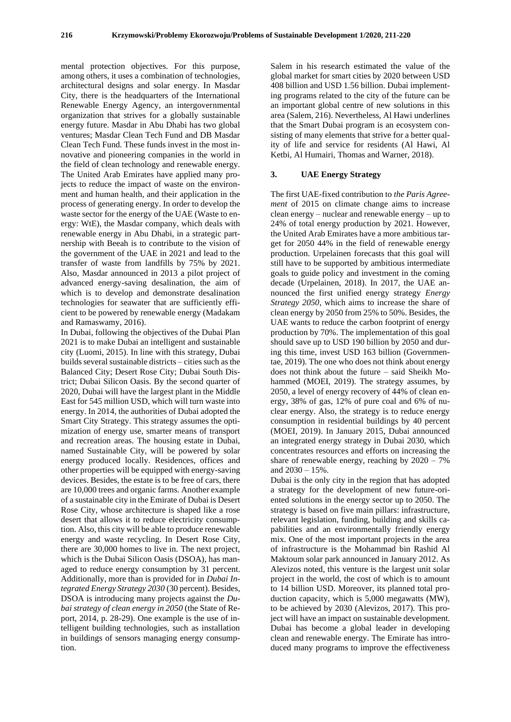mental protection objectives. For this purpose, among others, it uses a combination of technologies, architectural designs and solar energy. In Masdar City, there is the headquarters of the International Renewable Energy Agency, an intergovernmental organization that strives for a globally sustainable energy future. Masdar in Abu Dhabi has two global ventures; Masdar Clean Tech Fund and DB Masdar Clean Tech Fund. These funds invest in the most innovative and pioneering companies in the world in the field of clean technology and renewable energy. The United Arab Emirates have applied many projects to reduce the impact of waste on the environment and human health, and their application in the process of generating energy. In order to develop the waste sector for the energy of the UAE (Waste to energy: WtE), the Masdar company, which deals with renewable energy in Abu Dhabi, in a strategic partnership with Beeah is to contribute to the vision of the government of the UAE in 2021 and lead to the transfer of waste from landfills by 75% by 2021. Also, Masdar announced in 2013 a pilot project of advanced energy-saving desalination, the aim of which is to develop and demonstrate desalination technologies for seawater that are sufficiently efficient to be powered by renewable energy (Madakam and Ramaswamy, 2016).

In Dubai, following the objectives of the Dubai Plan 2021 is to make Dubai an intelligent and sustainable city (Luomi, 2015). In line with this strategy, Dubai builds several sustainable districts – cities such as the Balanced City; Desert Rose City; Dubai South District; Dubai Silicon Oasis. By the second quarter of 2020, Dubai will have the largest plant in the Middle East for 545 million USD, which will turn waste into energy. In 2014, the authorities of Dubai adopted the Smart City Strategy. This strategy assumes the optimization of energy use, smarter means of transport and recreation areas. The housing estate in Dubai, named Sustainable City, will be powered by solar energy produced locally. Residences, offices and other properties will be equipped with energy-saving devices. Besides, the estate is to be free of cars, there are 10,000 trees and organic farms. Another example of a sustainable city in the Emirate of Dubai is Desert Rose City, whose architecture is shaped like a rose desert that allows it to reduce electricity consumption. Also, this city will be able to produce renewable energy and waste recycling. In Desert Rose City, there are 30,000 homes to live in. The next project, which is the Dubai Silicon Oasis (DSOA), has managed to reduce energy consumption by 31 percent. Additionally, more than is provided for in *Dubai Integrated Energy Strategy 2030* (30 percent). Besides, DSOA is introducing many projects against the *Dubai strategy of clean energy in 2050* (the State of Report, 2014, p. 28-29). One example is the use of intelligent building technologies, such as installation in buildings of sensors managing energy consumption.

Salem in his research estimated the value of the global market for smart cities by 2020 between USD 408 billion and USD 1.56 billion. Dubai implementing programs related to the city of the future can be an important global centre of new solutions in this area (Salem, 216). Nevertheless, Al Hawi underlines that the Smart Dubai program is an ecosystem consisting of many elements that strive for a better quality of life and service for residents (Al Hawi, Al Ketbi, Al Humairi, Thomas and Warner, 2018).

#### **3. UAE Energy Strategy**

The first UAE-fixed contribution to *the Paris Agreement* of 2015 on climate change aims to increase clean energy – nuclear and renewable energy – up to 24% of total energy production by 2021. However, the United Arab Emirates have a more ambitious target for 2050 44% in the field of renewable energy production. Urpelainen forecasts that this goal will still have to be supported by ambitious intermediate goals to guide policy and investment in the coming decade (Urpelainen, 2018). In 2017, the UAE announced the first unified energy strategy *Energy Strategy 2050*, which aims to increase the share of clean energy by 2050 from 25% to 50%. Besides, the UAE wants to reduce the carbon footprint of energy production by 70%. The implementation of this goal should save up to USD 190 billion by 2050 and during this time, invest USD 163 billion (Governmentae, 2019). The one who does not think about energy does not think about the future – said Sheikh Mohammed (MOEI, 2019). The strategy assumes, by 2050, a level of energy recovery of 44% of clean energy, 38% of gas, 12% of pure coal and 6% of nuclear energy. Also, the strategy is to reduce energy consumption in residential buildings by 40 percent (MOEI, 2019). In January 2015, Dubai announced an integrated energy strategy in Dubai 2030, which concentrates resources and efforts on increasing the share of renewable energy, reaching by  $2020 - 7\%$ and 2030 – 15%.

Dubai is the only city in the region that has adopted a strategy for the development of new future-oriented solutions in the energy sector up to 2050. The strategy is based on five main pillars: infrastructure, relevant legislation, funding, building and skills capabilities and an environmentally friendly energy mix. One of the most important projects in the area of infrastructure is the Mohammad bin Rashid Al Maktoum solar park announced in January 2012. As Alevizos noted, this venture is the largest unit solar project in the world, the cost of which is to amount to 14 billion USD. Moreover, its planned total production capacity, which is 5,000 megawatts (MW), to be achieved by 2030 (Alevizos, 2017). This project will have an impact on sustainable development. Dubai has become a global leader in developing clean and renewable energy. The Emirate has introduced many programs to improve the effectiveness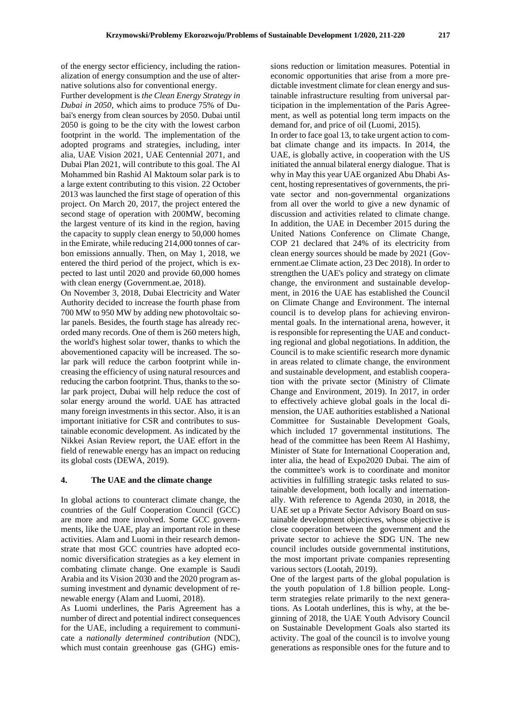of the energy sector efficiency, including the rationalization of energy consumption and the use of alternative solutions also for conventional energy.

Further development is *the Clean Energy Strategy in Dubai in 2050*, which aims to produce 75% of Dubai's energy from clean sources by 2050. Dubai until 2050 is going to be the city with the lowest carbon footprint in the world. The implementation of the adopted programs and strategies, including, inter alia, UAE Vision 2021, UAE Centennial 2071, and Dubai Plan 2021, will contribute to this goal. The Al Mohammed bin Rashid Al Maktoum solar park is to a large extent contributing to this vision. 22 October 2013 was launched the first stage of operation of this project. On March 20, 2017, the project entered the second stage of operation with 200MW, becoming the largest venture of its kind in the region, having the capacity to supply clean energy to 50,000 homes in the Emirate, while reducing 214,000 tonnes of carbon emissions annually. Then, on May 1, 2018, we entered the third period of the project, which is expected to last until 2020 and provide 60,000 homes with clean energy (Government.ae, 2018).

On November 3, 2018, Dubai Electricity and Water Authority decided to increase the fourth phase from 700 MW to 950 MW by adding new photovoltaic solar panels. Besides, the fourth stage has already recorded many records. One of them is 260 meters high, the world's highest solar tower, thanks to which the abovementioned capacity will be increased. The solar park will reduce the carbon footprint while increasing the efficiency of using natural resources and reducing the carbon footprint. Thus, thanks to the solar park project, Dubai will help reduce the cost of solar energy around the world. UAE has attracted many foreign investments in this sector. Also, it is an important initiative for CSR and contributes to sustainable economic development. As indicated by the Nikkei Asian Review report, the UAE effort in the field of renewable energy has an impact on reducing its global costs (DEWA, 2019).

#### **4. The UAE and the climate change**

In global actions to counteract climate change, the countries of the Gulf Cooperation Council (GCC) are more and more involved. Some GCC governments, like the UAE, play an important role in these activities. Alam and Luomi in their research demonstrate that most GCC countries have adopted economic diversification strategies as a key element in combating climate change. One example is Saudi Arabia and its Vision 2030 and the 2020 program assuming investment and dynamic development of renewable energy (Alam and Luomi, 2018).

As Luomi underlines, the Paris Agreement has a number of direct and potential indirect consequences for the UAE, including a requirement to communicate a *nationally determined contribution* (NDC), which must contain greenhouse gas (GHG) emissions reduction or limitation measures. Potential in economic opportunities that arise from a more predictable investment climate for clean energy and sustainable infrastructure resulting from universal participation in the implementation of the Paris Agreement, as well as potential long term impacts on the demand for, and price of oil (Luomi, 2015).

In order to face goal 13, to take urgent action to combat climate change and its impacts. In 2014, the UAE, is globally active, in cooperation with the US initiated the annual bilateral energy dialogue. That is why in May this year UAE organized Abu Dhabi Ascent, hosting representatives of governments, the private sector and non-governmental organizations from all over the world to give a new dynamic of discussion and activities related to climate change. In addition, the UAE in December 2015 during the United Nations Conference on Climate Change, COP 21 declared that 24% of its electricity from clean energy sources should be made by 2021 (Government.ae Climate action, 23 Dec 2018). In order to strengthen the UAE's policy and strategy on climate change, the environment and sustainable development, in 2016 the UAE has established the Council on Climate Change and Environment. The internal council is to develop plans for achieving environmental goals. In the international arena, however, it is responsible for representing the UAE and conducting regional and global negotiations. In addition, the Council is to make scientific research more dynamic in areas related to climate change, the environment and sustainable development, and establish cooperation with the private sector (Ministry of Climate Change and Environment, 2019). In 2017, in order to effectively achieve global goals in the local dimension, the UAE authorities established a National Committee for Sustainable Development Goals, which included 17 governmental institutions. The head of the committee has been Reem Al Hashimy, Minister of State for International Cooperation and, inter alia, the head of Expo2020 Dubai. The aim of the committee's work is to coordinate and monitor activities in fulfilling strategic tasks related to sustainable development, both locally and internationally. With reference to Agenda 2030, in 2018, the UAE set up a Private Sector Advisory Board on sustainable development objectives, whose objective is close cooperation between the government and the private sector to achieve the SDG UN. The new council includes outside governmental institutions, the most important private companies representing various sectors (Lootah, 2019).

One of the largest parts of the global population is the youth population of 1.8 billion people. Longterm strategies relate primarily to the next generations. As Lootah underlines, this is why, at the beginning of 2018, the UAE Youth Advisory Council on Sustainable Development Goals also started its activity. The goal of the council is to involve young generations as responsible ones for the future and to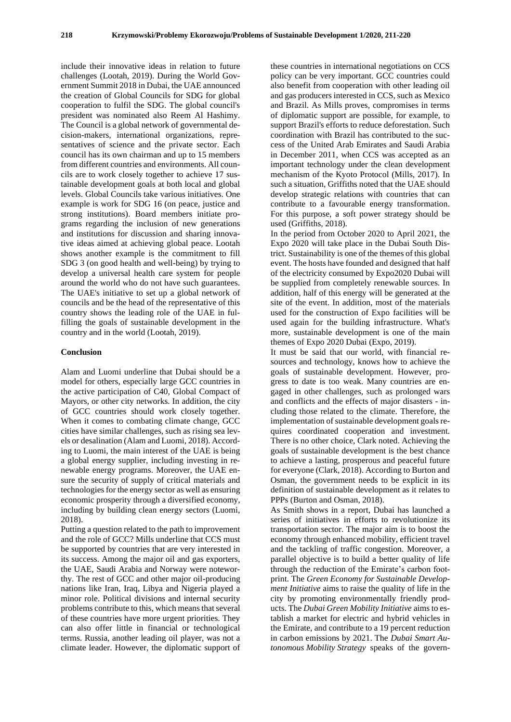include their innovative ideas in relation to future challenges (Lootah, 2019). During the World Government Summit 2018 in Dubai, the UAE announced the creation of Global Councils for SDG for global cooperation to fulfil the SDG. The global council's president was nominated also Reem Al Hashimy. The Council is a global network of governmental decision-makers, international organizations, representatives of science and the private sector. Each council has its own chairman and up to 15 members from different countries and environments. All councils are to work closely together to achieve 17 sustainable development goals at both local and global levels. Global Councils take various initiatives. One example is work for SDG 16 (on peace, justice and strong institutions). Board members initiate programs regarding the inclusion of new generations and institutions for discussion and sharing innovative ideas aimed at achieving global peace. Lootah shows another example is the commitment to fill SDG 3 (on good health and well-being) by trying to develop a universal health care system for people around the world who do not have such guarantees. The UAE's initiative to set up a global network of councils and be the head of the representative of this country shows the leading role of the UAE in fulfilling the goals of sustainable development in the country and in the world (Lootah, 2019).

#### **Conclusion**

Alam and Luomi underline that Dubai should be a model for others, especially large GCC countries in the active participation of C40, Global Compact of Mayors, or other city networks. In addition, the city of GCC countries should work closely together. When it comes to combating climate change, GCC cities have similar challenges, such as rising sea levels or desalination (Alam and Luomi, 2018). According to Luomi, the main interest of the UAE is being a global energy supplier, including investing in renewable energy programs. Moreover, the UAE ensure the security of supply of critical materials and technologies for the energy sector as well as ensuring economic prosperity through a diversified economy, including by building clean energy sectors (Luomi, 2018).

Putting a question related to the path to improvement and the role of GCC? Mills underline that CCS must be supported by countries that are very interested in its success. Among the major oil and gas exporters, the UAE, Saudi Arabia and Norway were noteworthy. The rest of GCC and other major oil-producing nations like Iran, Iraq, Libya and Nigeria played a minor role. Political divisions and internal security problems contribute to this, which means that several of these countries have more urgent priorities. They can also offer little in financial or technological terms. Russia, another leading oil player, was not a climate leader. However, the diplomatic support of

these countries in international negotiations on CCS policy can be very important. GCC countries could also benefit from cooperation with other leading oil and gas producers interested in CCS, such as Mexico and Brazil. As Mills proves, compromises in terms of diplomatic support are possible, for example, to support Brazil's efforts to reduce deforestation. Such coordination with Brazil has contributed to the success of the United Arab Emirates and Saudi Arabia in December 2011, when CCS was accepted as an important technology under the clean development mechanism of the Kyoto Protocol (Mills, 2017). In such a situation, Griffiths noted that the UAE should develop strategic relations with countries that can contribute to a favourable energy transformation. For this purpose, a soft power strategy should be used (Griffiths, 2018).

In the period from October 2020 to April 2021, the Expo 2020 will take place in the Dubai South District. Sustainability is one of the themes of this global event. The hosts have founded and designed that half of the electricity consumed by Expo2020 Dubai will be supplied from completely renewable sources. In addition, half of this energy will be generated at the site of the event. In addition, most of the materials used for the construction of Expo facilities will be used again for the building infrastructure. What's more, sustainable development is one of the main themes of Expo 2020 Dubai (Expo, 2019).

It must be said that our world, with financial resources and technology, knows how to achieve the goals of sustainable development. However, progress to date is too weak. Many countries are engaged in other challenges, such as prolonged wars and conflicts and the effects of major disasters - including those related to the climate. Therefore, the implementation of sustainable development goals requires coordinated cooperation and investment. There is no other choice, Clark noted. Achieving the goals of sustainable development is the best chance to achieve a lasting, prosperous and peaceful future for everyone (Clark, 2018). According to Burton and Osman, the government needs to be explicit in its definition of sustainable development as it relates to PPPs (Burton and Osman, 2018).

As Smith shows in a report, Dubai has launched a series of initiatives in efforts to revolutionize its transportation sector. The major aim is to boost the economy through enhanced mobility, efficient travel and the tackling of traffic congestion. Moreover, a parallel objective is to build a better quality of life through the reduction of the Emirate's carbon footprint. The *Green Economy for Sustainable Development Initiative* aims to raise the quality of life in the city by promoting environmentally friendly products. The *Dubai Green Mobility Initiative* aims to establish a market for electric and hybrid vehicles in the Emirate, and contribute to a 19 percent reduction in carbon emissions by 2021. The *Dubai Smart Autonomous Mobility Strategy* speaks of the govern-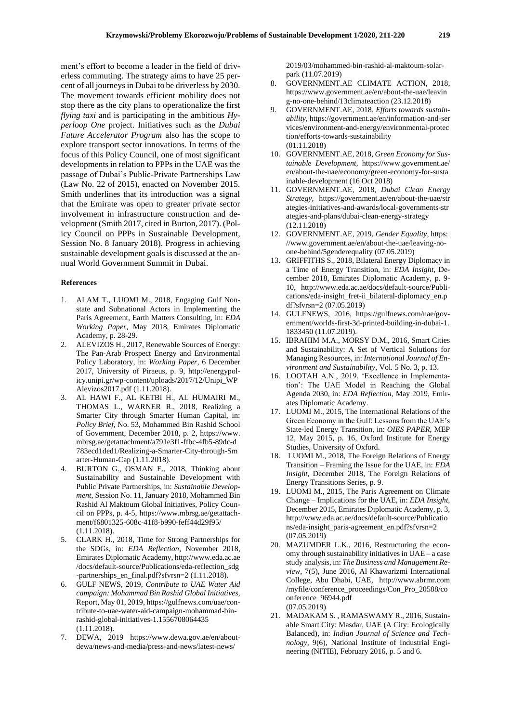ment's effort to become a leader in the field of driverless commuting. The strategy aims to have 25 percent of all journeys in Dubai to be driverless by 2030. The movement towards efficient mobility does not stop there as the city plans to operationalize the first *flying taxi* and is participating in the ambitious *Hyperloop One* project. Initiatives such as the *Dubai Future Accelerator Program* also has the scope to explore transport sector innovations. In terms of the focus of this Policy Council, one of most significant developments in relation to PPPs in the UAE was the passage of Dubai's Public-Private Partnerships Law (Law No. 22 of 2015), enacted on November 2015. Smith underlines that its introduction was a signal that the Emirate was open to greater private sector involvement in infrastructure construction and development (Smith 2017, cited in Burton, 2017). (Policy Council on PPPs in Sustainable Development, Session No. 8 January 2018). Progress in achieving sustainable development goals is discussed at the annual World Government Summit in Dubai.

#### **References**

- 1. ALAM T., LUOMI M., 2018, Engaging Gulf Nonstate and Subnational Actors in Implementing the Paris Agreement, Earth Matters Consulting, in: *EDA Working Paper*, May 2018, Emirates Diplomatic Academy, p. 28-29.
- 2. ALEVIZOS H., 2017, Renewable Sources of Energy: The Pan-Arab Prospect Energy and Environmental Policy Laboratory, in: *Working Paper*, 6 December 2017, University of Piraeus, p. 9, http://energypolicy.unipi.gr/wp-content/uploads/2017/12/Unipi\_WP Alevizos2017.pdf (1.11.2018).
- 3. AL HAWI F., AL KETBI H., AL HUMAIRI M., THOMAS L., WARNER R., 2018, Realizing a Smarter City through Smarter Human Capital, in: *Policy Brief*, No. 53, Mohammed Bin Rashid School of Government, December 2018, p. 2, https://www. mbrsg.ae/getattachment/a791e3f1-ffbc-4fb5-89dc-d 783ecd1ded1/Realizing-a-Smarter-City-through-Sm arter-Human-Cap (1.11.2018).
- 4. BURTON G., OSMAN E., 2018, Thinking about Sustainability and Sustainable Development with Public Private Partnerships, in: *Sustainable Development*, Session No. 11, January 2018, Mohammed Bin Rashid Al Maktoum Global Initiatives, Policy Council on PPPs, p. 4-5, https://www.mbrsg.ae/getattachment/f6801325-608c-41f8-b990-feff44d29f95/ (1.11.2018).
- 5. CLARK H., 2018, Time for Strong Partnerships for the SDGs, in: *EDA Reflection*, November 2018, Emirates Diplomatic Academy, http://www.eda.ac.ae /docs/default-source/Publications/eda-reflection\_sdg -partnerships\_en\_final.pdf?sfvrsn=2 (1.11.2018).
- 6. GULF NEWS, 2019, *Contribute to UAE Water Aid campaign: Mohammad Bin Rashid Global Initiatives,* [Report,](https://gulfnews.com/uae/contribute-to-uae-water-aid-campaign-mohammad-bin-rashid-global-initiatives-1.1556708064435) May 01, 2019[, https://gulfnews.com/uae/con](https://gulfnews.com/uae/contribute-to-uae-water-aid-campaign-mohammad-bin-rashid-global-initiatives-1.1556708064435)[tribute-to-uae-water-aid-campaign-mohammad-bin](https://gulfnews.com/uae/contribute-to-uae-water-aid-campaign-mohammad-bin-rashid-global-initiatives-1.1556708064435)[rashid-global-initiatives-1.1556708064435](https://gulfnews.com/uae/contribute-to-uae-water-aid-campaign-mohammad-bin-rashid-global-initiatives-1.1556708064435) (1.11.2018).
- 7. DEWA, 2019 https://www.dewa.gov.ae/en/aboutdewa/news-and-media/press-and-news/latest-news/

2019/03/mohammed-bin-rashid-al-maktoum-solarpark (11.07.2019)

- 8. GOVERNMENT.AE CLIMATE ACTION, 2018, https://www.government.ae/en/about-the-uae/leavin g-no-one-behind/13climateaction (23.12.2018)
- 9. GOVERNMENT.AE, 2018, *Efforts towards sustainability*, https://government.ae/en/information-and-ser vices/environment-and-energy/environmental-protec tion/efforts-towards-sustainability (01.11.2018)
- 10. GOVERNMENT.AE, 2018, *Green Economy for Sustainable Development,* https://www.government.ae/ en/about-the-uae/economy/green-economy-for-susta inable-development (16 Oct 2018)
- 11. GOVERNMENT.AE, 2018, *Dubai Clean Energy Strategy,* https://government.ae/en/about-the-uae/str ategies-initiatives-and-awards/local-governments-str ategies-and-plans/dubai-clean-energy-strategy (12.11.2018)
- 12. GOVERNMENT.AE, 2019, *Gender Equality*, https: //www.government.ae/en/about-the-uae/leaving-noone-behind/5genderequality (07.05.2019)
- 13. GRIFFITHS S., 2018, Bilateral Energy Diplomacy in a Time of Energy Transition, in: *EDA Insight*, December 2018, Emirates Diplomatic Academy, p. 9- 10, http://www.eda.ac.ae/docs/default-source/Publications/eda-insight\_fret-ii\_bilateral-diplomacy\_en.p df?sfvrsn=2 (07.05.2019)
- 14. GULFNEWS, 2016, https://gulfnews.com/uae/government/worlds-first-3d-printed-building-in-dubai-1. 1833450 (11.07.2019).
- 15. IBRAHIM M.A., MORSY D.M., 2016, Smart Cities and Sustainability: A Set of Vertical Solutions for Managing Resources, in: *International Journal of Environment and Sustainability*, Vol. 5 No. 3, p. 13.
- 16. LOOTAH A.N., 2019, 'Excellence in Implementation': The UAE Model in Reaching the Global Agenda 2030, in: *EDA Reflection*, May 2019, Emirates Diplomatic Academy.
- 17. LUOMI M., 2015, The International Relations of the Green Economy in the Gulf: Lessons from the UAE's State-led Energy Transition, in: *OIES PAPER*, MEP 12, May 2015, p. 16, Oxford Institute for Energy Studies, University of Oxford.
- 18. LUOMI M., 2018, The Foreign Relations of Energy Transition – Framing the Issue for the UAE, in: *EDA Insight*, December 2018, The Foreign Relations of Energy Transitions Series, p. 9.
- 19. LUOMI M., 2015, The Paris Agreement on Climate Change – Implications for the UAE, in: *EDA Insight*, December 2015, Emirates Diplomatic Academy, p. 3, http://www.eda.ac.ae/docs/default-source/Publicatio ns/eda-insight\_paris-agreement\_en.pdf?sfvrsn=2 (07.05.2019)
- 20. MAZUMDER L.K., 2016, Restructuring the economy through sustainability initiatives in UAE – a case study analysis, in: *The Business and Management Review*, 7(5), June 2016, Al Khawarizmi International College, Abu Dhabi, UAE, http://www.abrmr.com /myfile/conference\_proceedings/Con\_Pro\_20588/co onference\_96944.pdf (07.05.2019)
- 21. MADAKAM S. , RAMASWAMY R., 2016, Sustainable Smart City: Masdar, UAE (A City: Ecologically Balanced), in: *Indian Journal of Science and Technology*, 9(6), National Institute of Industrial Engineering (NITIE), February 2016, p. 5 and 6.